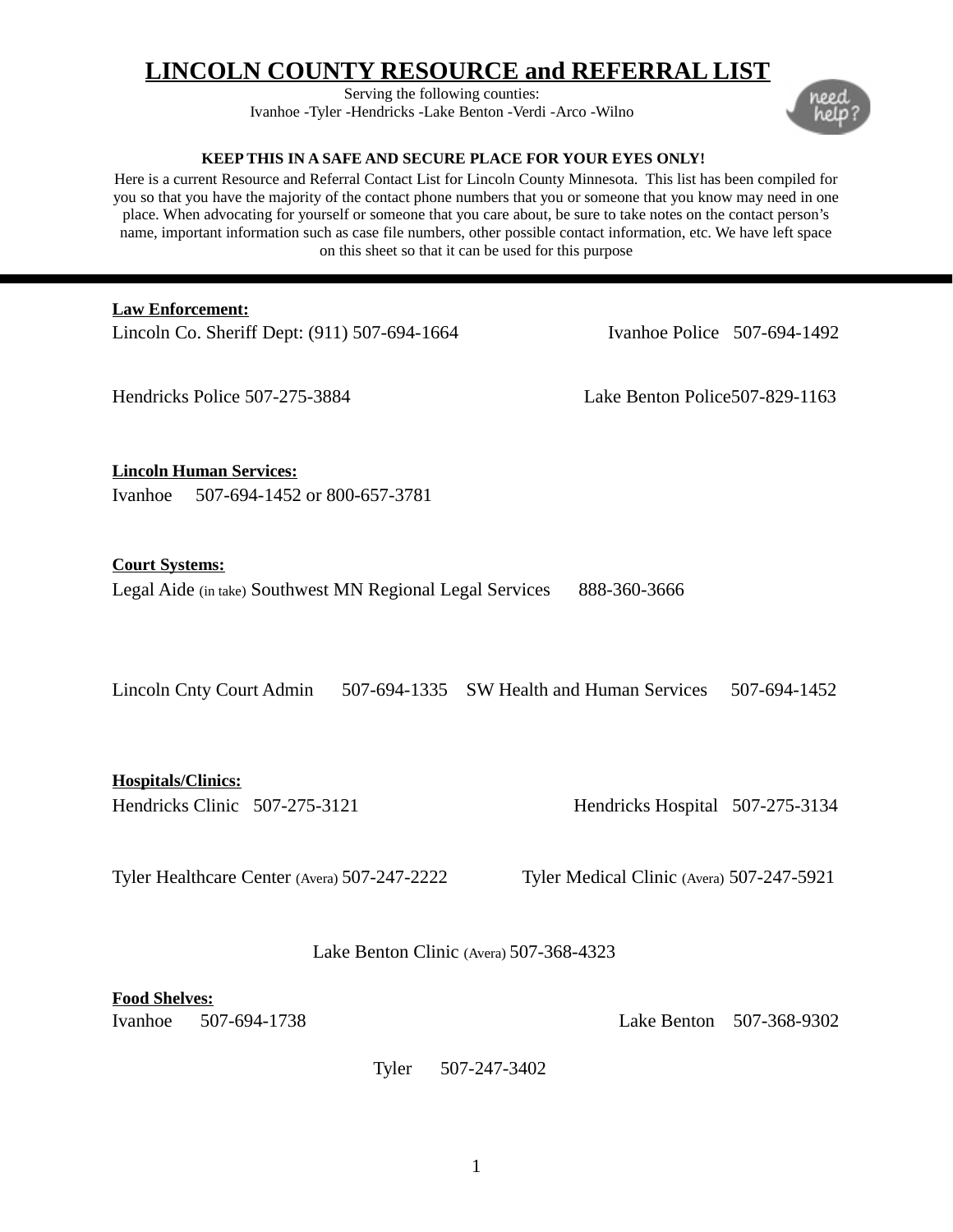# **LINCOLN COUNTY RESOURCE and REFERRAL LIST**

Serving the following counties: Ivanhoe -Tyler -Hendricks -Lake Benton -Verdi -Arco -Wilno

#### **KEEP THIS IN A SAFE AND SECURE PLACE FOR YOUR EYES ONLY!**

Here is a current Resource and Referral Contact List for Lincoln County Minnesota. This list has been compiled for you so that you have the majority of the contact phone numbers that you or someone that you know may need in one place. When advocating for yourself or someone that you care about, be sure to take notes on the contact person's name, important information such as case file numbers, other possible contact information, etc. We have left space on this sheet so that it can be used for this purpose

## **Law Enforcement:**

Lincoln Co. Sheriff Dept: (911) 507-694-1664 Ivanhoe Police 507-694-1492

Hendricks Police 507-275-3884 Lake Benton Police507-829-1163

**Lincoln Human Services:** Ivanhoe 507-694-1452 or 800-657-3781

#### **Court Systems:**

Legal Aide (in take) Southwest MN Regional Legal Services 888-360-3666

Lincoln Cnty Court Admin 507-694-1335 SW Health and Human Services 507-694-1452

**Hospitals/Clinics:**

Hendricks Clinic 507-275-3121 Hendricks Hospital 507-275-3134

Tyler Healthcare Center (Avera) 507-247-2222 Tyler Medical Clinic (Avera) 507-247-5921

Lake Benton Clinic (Avera) 507-368-4323

# **Food Shelves:**

Ivanhoe 507-694-1738 Lake Benton 507-368-9302

Tyler 507-247-3402